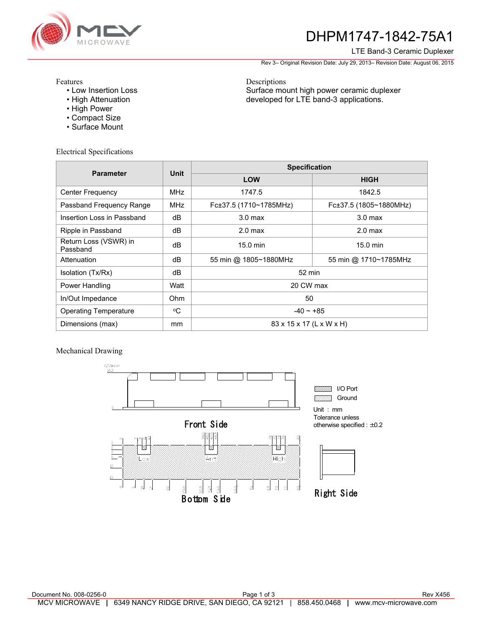

# DHPM1747-1842-75A1

#### LTE Band-3 Ceramic Duplexer

Rev 3– Original Revision Date: July 29, 2013– Revision Date: August 06, 2015

Features

- Low Insertion Loss
- High Attenuation
- High Power
- Compact Size
- Surface Mount

Electrical Specifications

Descriptions Surface mount high power ceramic duplexer developed for LTE band-3 applications.

| <b>Parameter</b>                  | <b>Unit</b> | <b>Specification</b>     |                        |
|-----------------------------------|-------------|--------------------------|------------------------|
|                                   |             | <b>LOW</b>               | <b>HIGH</b>            |
| <b>Center Frequency</b>           | <b>MHz</b>  | 1747.5                   | 1842.5                 |
| Passband Frequency Range          | <b>MHz</b>  | Fc±37.5 (1710~1785MHz)   | Fc±37.5 (1805~1880MHz) |
| Insertion Loss in Passband        | dB          | 3.0 <sub>max</sub>       | 3.0 <sub>max</sub>     |
| Ripple in Passband                | dB          | 2.0 <sub>max</sub>       | $2.0$ max              |
| Return Loss (VSWR) in<br>Passband | dB          | 15.0 min                 | $15.0 \text{ min}$     |
| Attenuation                       | dB          | 55 min @ 1805~1880MHz    | 55 min @ 1710~1785MHz  |
| Isolation (Tx/Rx)                 | dB          | 52 min                   |                        |
| Power Handling                    | Watt        | 20 CW max                |                        |
| In/Out Impedance                  | <b>Ohm</b>  | 50                       |                        |
| <b>Operating Temperature</b>      | °C          | $-40 - +85$              |                        |
| Dimensions (max)                  | mm          | 83 x 15 x 17 (L x W x H) |                        |

Mechanical Drawing

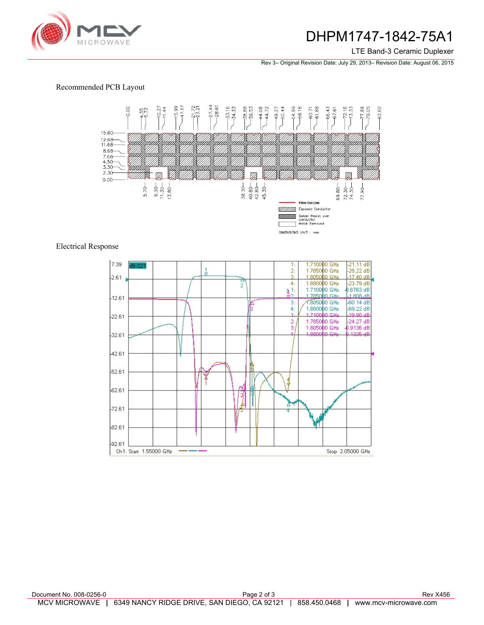

## DHPM1747-1842-75A1

LTE Band-3 Ceramic Duplexer

Rev 3– Original Revision Date: July 29, 2013– Revision Date: August 06, 2015

### Recommended PCB Layout



### Electrical Response